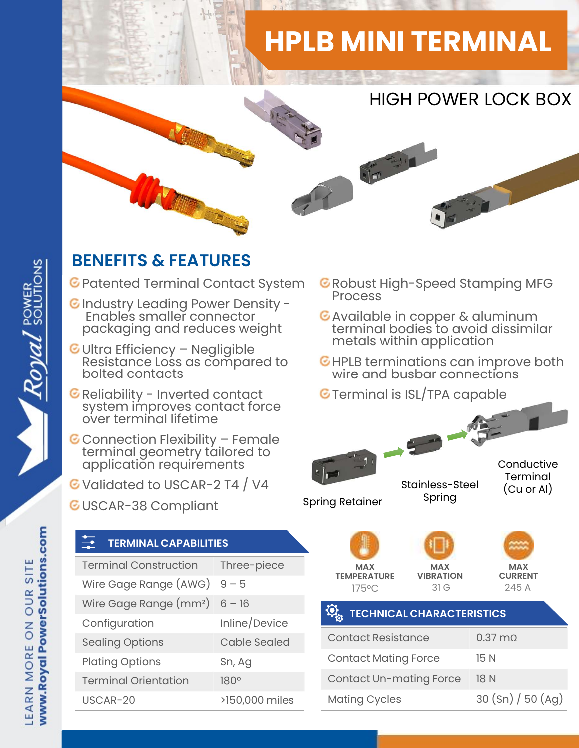## HPLB MINI TERMINAL



## BENEFITS & FEATURES

- C Patented Terminal Contact System C Robust I
- C Industry Leading Power Density -<br>Enables smaller connector C Available in copper & aluminum Enables smaller connector packaging and reduces weight
- **ENEFITS & FEATURES**<br>
Patented Terminal Contact System ERIC<br>
Industry Leading Power Density Resistance Ionnector<br>
Packaging and reduces weight<br>
Ultra Efficiency Negligible<br>
Resistance Loss as compared to EHIC<br>
Bolted c Reliability Leading Power Density -<br>Finables smaller connector<br>packaging and reduces weight<br>Ultra Efficiency – Negligible<br>Resistance Loss as compared to<br>bolted contacts<br>Reliability - Inverted contact<br>system improves contac
- 
- packaging and reduces weight<br>
Ultra Efficiency Negligible<br>
Resistance Loss as compared to<br>
Reliability Inverted contact<br>
Reliability Inverted contact<br>
System improves contact force<br>
over terminal lifetime<br>
Connection
- G Validated to USCAR-2 T4 / V4
- GUSCAR-38 Compliant
- **C** Robust High-Speed Stamping MFG
- Available in copper & aluminum<br>terminal bodies to avoid dissimilar metals within application
- G HPLB terminations can improve both wire and busbar connections
- **G** Terminal is ISL/TPA capable



| <b>MAX</b><br><b>MAX</b><br><b>TEMPERATURE</b><br><b>VIBRATION</b><br>175°C | 31G                    | <b>MAX</b><br><b>CURRENT</b><br>245 A |  |  |
|-----------------------------------------------------------------------------|------------------------|---------------------------------------|--|--|
| <b>FOW</b><br><b>TECHNICAL CHARACTERISTICS</b>                              |                        |                                       |  |  |
| <b>Contact Resistance</b>                                                   | $0.37 \text{ m}\Omega$ |                                       |  |  |
| <b>Contact Mating Force</b>                                                 | 15 N                   |                                       |  |  |
| <b>Contact Un-mating Force</b>                                              | 18 N                   |                                       |  |  |
| <b>Mating Cycles</b>                                                        |                        | 30 (Sn) / 50 (Ag)                     |  |  |
|                                                                             |                        |                                       |  |  |
|                                                                             |                        |                                       |  |  |

Royal SOLUTIONS

|  | application requirements<br>C Validated to USCAR-2 T4 / V4  |                     |  |                                      |                        |  |
|--|-------------------------------------------------------------|---------------------|--|--------------------------------------|------------------------|--|
|  | <b>C</b> USCAR-38 Compliant<br><b>TERMINAL CAPABILITIES</b> |                     |  |                                      | <b>Spring Retainer</b> |  |
|  | <b>Terminal Construction</b>                                | Three-piece         |  |                                      | <b>MAX</b>             |  |
|  | Wire Gage Range (AWG)                                       | $9 - 5$             |  | <b>TEMPERATUR</b><br>$175^{\circ}$ C |                        |  |
|  | Wire Gage Range (mm <sup>2</sup> )                          | $6 - 16$            |  |                                      | <b>TECHNK</b>          |  |
|  | Configuration                                               | Inline/Device       |  |                                      |                        |  |
|  | <b>Sealing Options</b>                                      | <b>Cable Sealed</b> |  |                                      | <b>Contact Res</b>     |  |
|  | <b>Plating Options</b>                                      | Sn, Ag<br>180°      |  | <b>Contact Mat</b><br>Contact Un-    |                        |  |
|  | <b>Terminal Orientation</b>                                 |                     |  |                                      |                        |  |
|  | USCAR-20                                                    | >150,000 miles      |  |                                      | Mating Cycl            |  |
|  |                                                             |                     |  |                                      |                        |  |